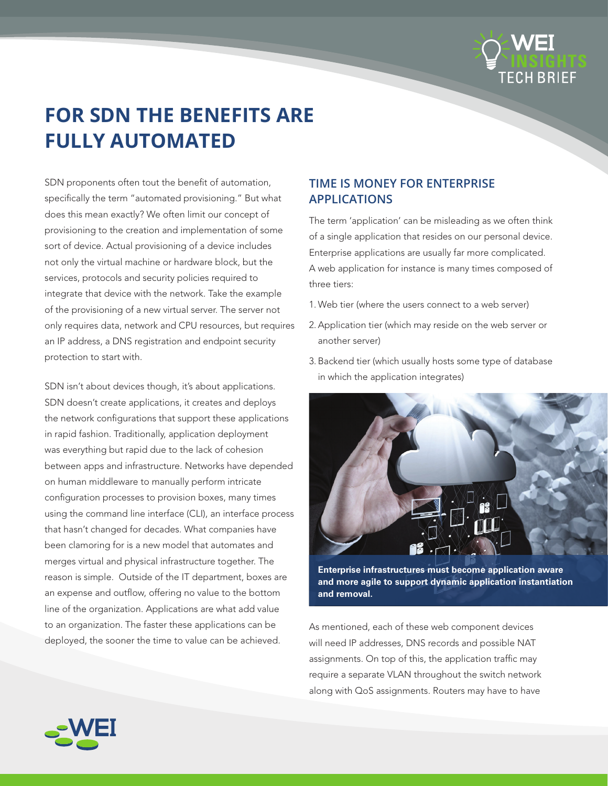

# **FOR SDN THE BENEFITS ARE FULLY AUTOMATED**

SDN proponents often tout the benefit of automation, specifically the term "automated provisioning." But what does this mean exactly? We often limit our concept of provisioning to the creation and implementation of some sort of device. Actual provisioning of a device includes not only the virtual machine or hardware block, but the services, protocols and security policies required to integrate that device with the network. Take the example of the provisioning of a new virtual server. The server not only requires data, network and CPU resources, but requires an IP address, a DNS registration and endpoint security protection to start with.

SDN isn't about devices though, it's about applications. SDN doesn't create applications, it creates and deploys the network configurations that support these applications in rapid fashion. Traditionally, application deployment was everything but rapid due to the lack of cohesion between apps and infrastructure. Networks have depended on human middleware to manually perform intricate configuration processes to provision boxes, many times using the command line interface (CLI), an interface process that hasn't changed for decades. What companies have been clamoring for is a new model that automates and merges virtual and physical infrastructure together. The reason is simple. Outside of the IT department, boxes are an expense and outflow, offering no value to the bottom line of the organization. Applications are what add value to an organization. The faster these applications can be deployed, the sooner the time to value can be achieved.

## **TIME IS MONEY FOR ENTERPRISE APPLICATIONS**

The term 'application' can be misleading as we often think of a single application that resides on our personal device. Enterprise applications are usually far more complicated. A web application for instance is many times composed of three tiers:

- 1. Web tier (where the users connect to a web server)
- 2.Application tier (which may reside on the web server or another server)
- 3. Backend tier (which usually hosts some type of database in which the application integrates)



**Enterprise infrastructures must become application aware and more agile to support dynamic application instantiation and removal.**

As mentioned, each of these web component devices will need IP addresses, DNS records and possible NAT assignments. On top of this, the application traffic may require a separate VLAN throughout the switch network along with QoS assignments. Routers may have to have

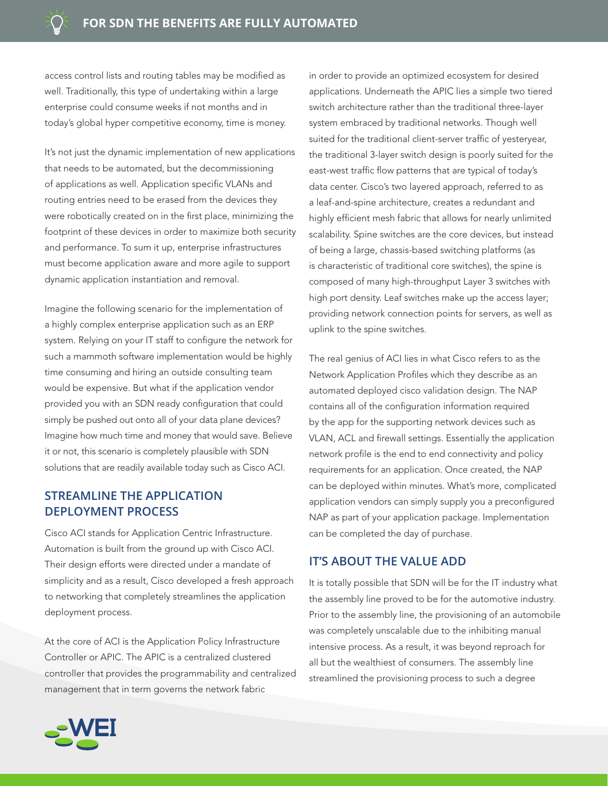access control lists and routing tables may be modified as well. Traditionally, this type of undertaking within a large enterprise could consume weeks if not months and in today's global hyper competitive economy, time is money.

It's not just the dynamic implementation of new applications that needs to be automated, but the decommissioning of applications as well. Application specific VLANs and routing entries need to be erased from the devices they were robotically created on in the first place, minimizing the footprint of these devices in order to maximize both security and performance. To sum it up, enterprise infrastructures must become application aware and more agile to support dynamic application instantiation and removal.

Imagine the following scenario for the implementation of a highly complex enterprise application such as an ERP system. Relying on your IT staff to configure the network for such a mammoth software implementation would be highly time consuming and hiring an outside consulting team would be expensive. But what if the application vendor provided you with an SDN ready configuration that could simply be pushed out onto all of your data plane devices? Imagine how much time and money that would save. Believe it or not, this scenario is completely plausible with SDN solutions that are readily available today such as Cisco ACI.

### **STREAMLINE THE APPLICATION DEPLOYMENT PROCESS**

Cisco ACI stands for Application Centric Infrastructure. Automation is built from the ground up with Cisco ACI. Their design efforts were directed under a mandate of simplicity and as a result, Cisco developed a fresh approach to networking that completely streamlines the application deployment process.

At the core of ACI is the Application Policy Infrastructure Controller or APIC. The APIC is a centralized clustered controller that provides the programmability and centralized management that in term governs the network fabric

in order to provide an optimized ecosystem for desired applications. Underneath the APIC lies a simple two tiered switch architecture rather than the traditional three-layer system embraced by traditional networks. Though well suited for the traditional client-server traffic of yesteryear, the traditional 3-layer switch design is poorly suited for the east-west traffic flow patterns that are typical of today's data center. Cisco's two layered approach, referred to as a leaf-and-spine architecture, creates a redundant and highly efficient mesh fabric that allows for nearly unlimited scalability. Spine switches are the core devices, but instead of being a large, chassis-based switching platforms (as is characteristic of traditional core switches), the spine is composed of many high-throughput Layer 3 switches with high port density. Leaf switches make up the access layer; providing network connection points for servers, as well as uplink to the spine switches.

The real genius of ACI lies in what Cisco refers to as the Network Application Profiles which they describe as an automated deployed cisco validation design. The NAP contains all of the configuration information required by the app for the supporting network devices such as VLAN, ACL and firewall settings. Essentially the application network profile is the end to end connectivity and policy requirements for an application. Once created, the NAP can be deployed within minutes. What's more, complicated application vendors can simply supply you a preconfigured NAP as part of your application package. Implementation can be completed the day of purchase.

#### **IT'S ABOUT THE VALUE ADD**

It is totally possible that SDN will be for the IT industry what the assembly line proved to be for the automotive industry. Prior to the assembly line, the provisioning of an automobile was completely unscalable due to the inhibiting manual intensive process. As a result, it was beyond reproach for all but the wealthiest of consumers. The assembly line streamlined the provisioning process to such a degree